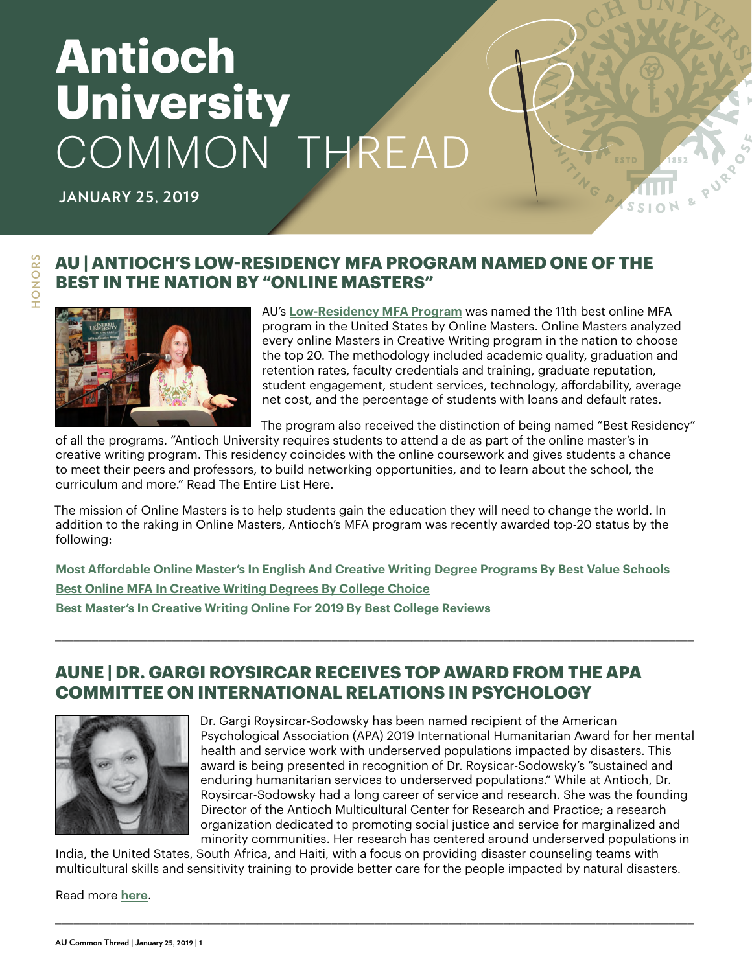# **Antioch University** COMMON THREAD

**JANUARY 25, 2019**

#### **AU | ANTIOCH'S LOW-RESIDENCY MFA PROGRAM NAMED ONE OF THE BEST IN THE NATION BY "ONLINE MASTERS"**



AU's **Low-Residency MFA Program** was named the 11th best online MFA program in the United States by Online Masters. Online Masters analyzed ever[y online Masters in Creative Wr](https://www.antioch.edu/santa-barbara/degrees-programs/creative-writing-communications/writing-contemporary-media-mfa/)iting program in the nation to choose the top 20. The methodology included academic quality, graduation and retention rates, faculty credentials and training, graduate reputation, student engagement, student services, technology, affordability, average net cost, and the percentage of students with loans and default rates.

The program also received the distinction of being named "Best Residency"

of all the programs. "Antioch University requires students to attend a de as part of the online master's in creative writing program. This residency coincides with the online coursework and gives students a chance to meet their peers and professors, to build networking opportunities, and to learn about the school, the curriculum and more." Read The Entire List Here.

The mission of Online Masters is to help students gain the education they will need to change the world. In addition to the raking in Online Masters, Antioch's MFA program was recently awarded top-20 status by the following:

**[Most Affordable Online Master's In English And Creative Writing Degree Programs By Best Value Schools](https://www.bestvalueschools.com/cheap/online/masters-in-english-and-creative-writing-degree-programs/) [Best Online MFA In Creative Writing Degrees By College Choice](https://www.collegechoice.net/rankings/best-online-mfa-in-creative-writing-degrees/) [Best Master's In Creative Writing Online For 2019 By Best College Reviews](https://www.bestcollegereviews.org/top/online-masters-creative-writing-degree-programs/)**

\_\_\_\_\_\_\_\_\_\_\_\_\_\_\_\_\_\_\_\_\_\_\_\_\_\_\_\_\_\_\_\_\_\_\_\_\_\_\_\_\_\_\_\_\_\_\_\_\_\_\_\_\_\_\_\_\_\_\_\_\_\_\_\_\_\_\_\_\_\_\_\_\_\_\_\_\_\_\_\_\_\_\_\_\_\_\_\_\_\_\_\_\_\_\_\_\_\_\_\_\_\_\_\_

#### **AUNE | DR. GARGI ROYSIRCAR RECEIVES TOP AWARD FROM THE APA COMMITTEE ON INTERNATIONAL RELATIONS IN PSYCHOLOGY**



Dr. Gargi Roysircar-Sodowsky has been named recipient of the American Psychological Association (APA) 2019 International Humanitarian Award for her mental health and service work with underserved populations impacted by disasters. This award is being presented in recognition of Dr. Roysicar-Sodowsky's "sustained and enduring humanitarian services to underserved populations." While at Antioch, Dr. Roysircar-Sodowsky had a long career of service and research. She was the founding Director of the Antioch Multicultural Center for Research and Practice; a research organization dedicated to promoting social justice and service for marginalized and minority communities. Her research has centered around underserved populations in

India, the United States, South Africa, and Haiti, with a focus on providing disaster counseling teams with multicultural skills and sensitivity training to provide better care for the people impacted by natural disasters.

\_\_\_\_\_\_\_\_\_\_\_\_\_\_\_\_\_\_\_\_\_\_\_\_\_\_\_\_\_\_\_\_\_\_\_\_\_\_\_\_\_\_\_\_\_\_\_\_\_\_\_\_\_\_\_\_\_\_\_\_\_\_\_\_\_\_\_\_\_\_\_\_\_\_\_\_\_\_\_\_\_\_\_\_\_\_\_\_\_\_\_\_\_\_\_\_\_\_\_\_\_\_\_\_

Read more **[here](https://www.antioch.edu/new-england/2019/01/16/dr-gargi-roysircar-receives-top-award-from-the-apa-committee-on-international-relations-in-psychology/)**.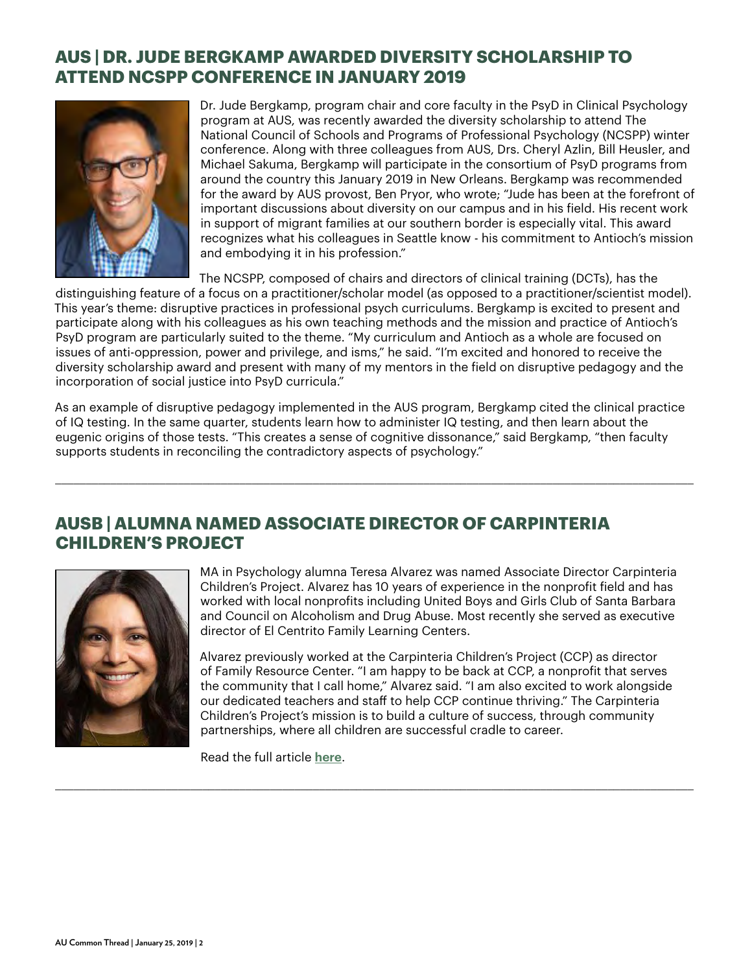#### **AUS | DR. JUDE BERGKAMP AWARDED DIVERSITY SCHOLARSHIP TO ATTEND NCSPP CONFERENCE IN JANUARY 2019**



Dr. Jude Bergkamp, program chair and core faculty in the PsyD in Clinical Psychology program at AUS, was recently awarded the diversity scholarship to attend The National Council of Schools and Programs of Professional Psychology (NCSPP) winter conference. Along with three colleagues from AUS, Drs. Cheryl Azlin, Bill Heusler, and Michael Sakuma, Bergkamp will participate in the consortium of PsyD programs from around the country this January 2019 in New Orleans. Bergkamp was recommended for the award by AUS provost, Ben Pryor, who wrote; "Jude has been at the forefront of important discussions about diversity on our campus and in his field. His recent work in support of migrant families at our southern border is especially vital. This award recognizes what his colleagues in Seattle know - his commitment to Antioch's mission and embodying it in his profession."

The NCSPP, composed of chairs and directors of clinical training (DCTs), has the distinguishing feature of a focus on a practitioner/scholar model (as opposed to a practitioner/scientist model). This year's theme: disruptive practices in professional psych curriculums. Bergkamp is excited to present and participate along with his colleagues as his own teaching methods and the mission and practice of Antioch's PsyD program are particularly suited to the theme. "My curriculum and Antioch as a whole are focused on issues of anti-oppression, power and privilege, and isms," he said. "I'm excited and honored to receive the diversity scholarship award and present with many of my mentors in the field on disruptive pedagogy and the incorporation of social justice into PsyD curricula."

As an example of disruptive pedagogy implemented in the AUS program, Bergkamp cited the clinical practice of IQ testing. In the same quarter, students learn how to administer IQ testing, and then learn about the eugenic origins of those tests. "This creates a sense of cognitive dissonance," said Bergkamp, "then faculty supports students in reconciling the contradictory aspects of psychology."

\_\_\_\_\_\_\_\_\_\_\_\_\_\_\_\_\_\_\_\_\_\_\_\_\_\_\_\_\_\_\_\_\_\_\_\_\_\_\_\_\_\_\_\_\_\_\_\_\_\_\_\_\_\_\_\_\_\_\_\_\_\_\_\_\_\_\_\_\_\_\_\_\_\_\_\_\_\_\_\_\_\_\_\_\_\_\_\_\_\_\_\_\_\_\_\_\_\_\_\_\_\_\_\_

\_\_\_\_\_\_\_\_\_\_\_\_\_\_\_\_\_\_\_\_\_\_\_\_\_\_\_\_\_\_\_\_\_\_\_\_\_\_\_\_\_\_\_\_\_\_\_\_\_\_\_\_\_\_\_\_\_\_\_\_\_\_\_\_\_\_\_\_\_\_\_\_\_\_\_\_\_\_\_\_\_\_\_\_\_\_\_\_\_\_\_\_\_\_\_\_\_\_\_\_\_\_\_\_

#### **AUSB | ALUMNA NAMED ASSOCIATE DIRECTOR OF CARPINTERIA CHILDREN'S PROJECT**



MA in Psychology alumna Teresa Alvarez was named Associate Director Carpinteria Children's Project. Alvarez has 10 years of experience in the nonprofit field and has worked with local nonprofits including United Boys and Girls Club of Santa Barbara and Council on Alcoholism and Drug Abuse. Most recently she served as executive director of El Centrito Family Learning Centers.

Alvarez previously worked at the Carpinteria Children's Project (CCP) as director of Family Resource Center. "I am happy to be back at CCP, a nonprofit that serves the community that I call home," Alvarez said. "I am also excited to work alongside our dedicated teachers and staff to help CCP continue thriving." The Carpinteria Children's Project's mission is to build a culture of success, through community partnerships, where all children are successful cradle to career.

Read the full article **[here](https://www.noozhawk.com/article/carpinteria_childrens_project_names_teresa_alvarez_associate_director)**.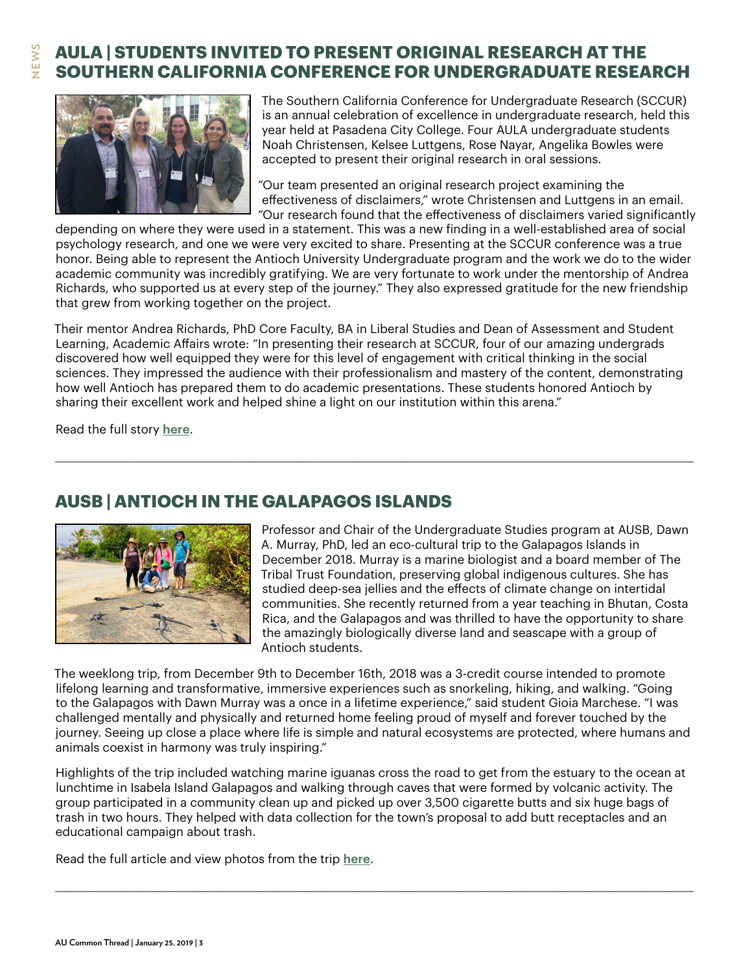# **NEWS**

# **AULA | STUDENTS INVITED TO PRESENT ORIGINAL RESEARCH AT THE SOUTHERN CALIFORNIA CONFERENCE FOR UNDERGRADUATE RESEARCH**



The Southern California Conference for Undergraduate Research (SCCUR) is an annual celebration of excellence in undergraduate research, held this year held at Pasadena City College. Four AULA undergraduate students Noah Christensen, Kelsee Luttgens, Rose Nayar, Angelika Bowles were accepted to present their original research in oral sessions.

"Our team presented an original research project examining the effectiveness of disclaimers," wrote Christensen and Luttgens in an email. "Our research found that the effectiveness of disclaimers varied significantly

depending on where they were used in a statement. This was a new finding in a well-established area of social psychology research, and one we were very excited to share. Presenting at the SCCUR conference was a true honor. Being able to represent the Antioch University Undergraduate program and the work we do to the wider academic community was incredibly gratifying. We are very fortunate to work under the mentorship of Andrea Richards, who supported us at every step of the journey." They also expressed gratitude for the new friendship that grew from working together on the project.

Their mentor Andrea Richards, PhD Core Faculty, BA in Liberal Studies and Dean of Assessment and Student Learning, Academic Affairs wrote: "In presenting their research at SCCUR, four of our amazing undergrads discovered how well equipped they were for this level of engagement with critical thinking in the social sciences. They impressed the audience with their professionalism and mastery of the content, demonstrating how well Antioch has prepared them to do academic presentations. These students honored Antioch by sharing their excellent work and helped shine a light on our institution within this arena."

\_\_\_\_\_\_\_\_\_\_\_\_\_\_\_\_\_\_\_\_\_\_\_\_\_\_\_\_\_\_\_\_\_\_\_\_\_\_\_\_\_\_\_\_\_\_\_\_\_\_\_\_\_\_\_\_\_\_\_\_\_\_\_\_\_\_\_\_\_\_\_\_\_\_\_\_\_\_\_\_\_\_\_\_\_\_\_\_\_\_\_\_\_\_\_\_\_\_\_\_\_\_\_\_

Read the full story **[here](https://www.antioch.edu/los-angeles/2019/01/04/students-invited-to-present-original-research-at-the-southern-california-conference-for-undergraduate-research/)**.

#### **AUSB | ANTIOCH IN THE GALAPAGOS ISLANDS**



Professor and Chair of the Undergraduate Studies program at AUSB, Dawn A. Murray, PhD, led an eco-cultural trip to the Galapagos Islands in December 2018. Murray is a marine biologist and a board member of The Tribal Trust Foundation, preserving global indigenous cultures. She has studied deep-sea jellies and the effects of climate change on intertidal communities. She recently returned from a year teaching in Bhutan, Costa Rica, and the Galapagos and was thrilled to have the opportunity to share the amazingly biologically diverse land and seascape with a group of Antioch students.

The weeklong trip, from December 9th to December 16th, 2018 was a 3-credit course intended to promote lifelong learning and transformative, immersive experiences such as snorkeling, hiking, and walking. "Going to the Galapagos with Dawn Murray was a once in a lifetime experience," said student Gioia Marchese. "I was challenged mentally and physically and returned home feeling proud of myself and forever touched by the journey. Seeing up close a place where life is simple and natural ecosystems are protected, where humans and animals coexist in harmony was truly inspiring."

Highlights of the trip included watching marine iguanas cross the road to get from the estuary to the ocean at lunchtime in Isabela Island Galapagos and walking through caves that were formed by volcanic activity. The group participated in a community clean up and picked up over 3,500 cigarette butts and six huge bags of trash in two hours. They helped with data collection for the town's proposal to add butt receptacles and an educational campaign about trash.

\_\_\_\_\_\_\_\_\_\_\_\_\_\_\_\_\_\_\_\_\_\_\_\_\_\_\_\_\_\_\_\_\_\_\_\_\_\_\_\_\_\_\_\_\_\_\_\_\_\_\_\_\_\_\_\_\_\_\_\_\_\_\_\_\_\_\_\_\_\_\_\_\_\_\_\_\_\_\_\_\_\_\_\_\_\_\_\_\_\_\_\_\_\_\_\_\_\_\_\_\_\_\_\_

Read the full article and view photos from the trip **[here](https://www.antioch.edu/santa-barbara/2019/01/22/antioch-in-the-galapagos-islands/)**.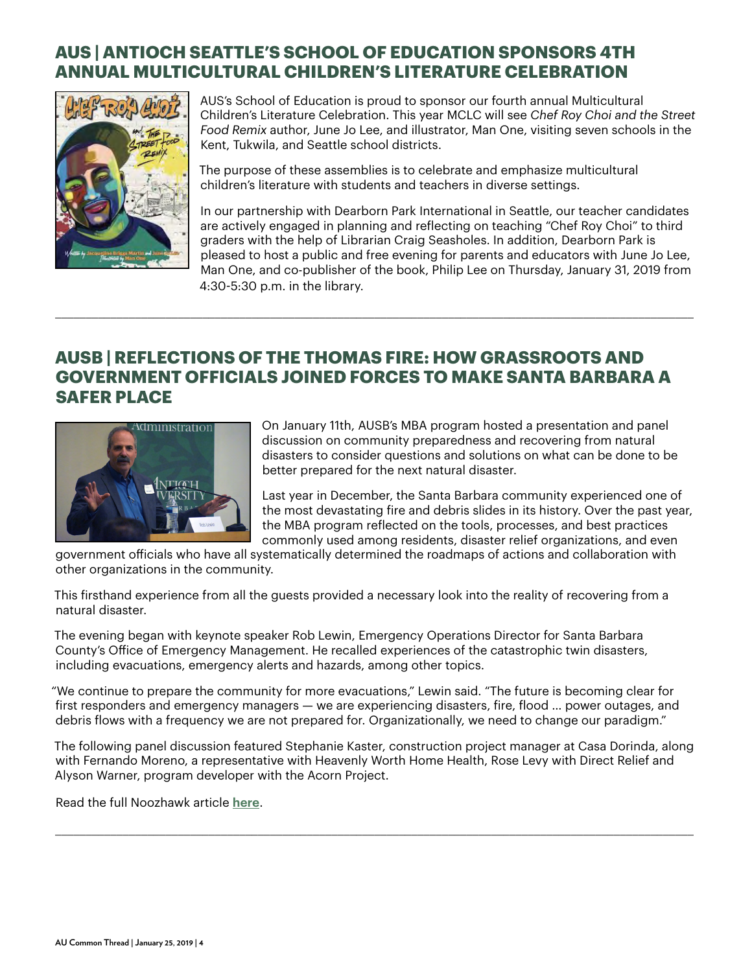# **AUS | ANTIOCH SEATTLE'S SCHOOL OF EDUCATION SPONSORS 4TH ANNUAL MULTICULTURAL CHILDREN'S LITERATURE CELEBRATION**



AUS's School of Education is proud to sponsor our fourth annual Multicultural Children's Literature Celebration. This year MCLC will see *Chef Roy Choi and the Street Food Remix* author, June Jo Lee, and illustrator, Man One, visiting seven schools in the Kent, Tukwila, and Seattle school districts.

The purpose of these assemblies is to celebrate and emphasize multicultural children's literature with students and teachers in diverse settings.

In our partnership with Dearborn Park International in Seattle, our teacher candidates are actively engaged in planning and reflecting on teaching "Chef Roy Choi" to third graders with the help of Librarian Craig Seasholes. In addition, Dearborn Park is pleased to host a public and free evening for parents and educators with June Jo Lee, Man One, and co-publisher of the book, Philip Lee on Thursday, January 31, 2019 from 4:30-5:30 p.m. in the library.

#### **AUSB | REFLECTIONS OF THE THOMAS FIRE: HOW GRASSROOTS AND GOVERNMENT OFFICIALS JOINED FORCES TO MAKE SANTA BARBARA A SAFER PLACE**

\_\_\_\_\_\_\_\_\_\_\_\_\_\_\_\_\_\_\_\_\_\_\_\_\_\_\_\_\_\_\_\_\_\_\_\_\_\_\_\_\_\_\_\_\_\_\_\_\_\_\_\_\_\_\_\_\_\_\_\_\_\_\_\_\_\_\_\_\_\_\_\_\_\_\_\_\_\_\_\_\_\_\_\_\_\_\_\_\_\_\_\_\_\_\_\_\_\_\_\_\_\_\_\_



On January 11th, AUSB's MBA program hosted a presentation and panel discussion on community preparedness and recovering from natural disasters to consider questions and solutions on what can be done to be better prepared for the next natural disaster.

Last year in December, the Santa Barbara community experienced one of the most devastating fire and debris slides in its history. Over the past year, the MBA program reflected on the tools, processes, and best practices commonly used among residents, disaster relief organizations, and even

government officials who have all systematically determined the roadmaps of actions and collaboration with other organizations in the community.

This firsthand experience from all the guests provided a necessary look into the reality of recovering from a natural disaster.

The evening began with keynote speaker Rob Lewin, Emergency Operations Director for Santa Barbara County's Office of Emergency Management. He recalled experiences of the catastrophic twin disasters, including evacuations, emergency alerts and hazards, among other topics.

"We continue to prepare the community for more evacuations," Lewin said. "The future is becoming clear for first responders and emergency managers — we are experiencing disasters, fire, flood … power outages, and debris flows with a frequency we are not prepared for. Organizationally, we need to change our paradigm."

The following panel discussion featured Stephanie Kaster, construction project manager at Casa Dorinda, along with Fernando Moreno, a representative with Heavenly Worth Home Health, Rose Levy with Direct Relief and Alyson Warner, program developer with the Acorn Project.

\_\_\_\_\_\_\_\_\_\_\_\_\_\_\_\_\_\_\_\_\_\_\_\_\_\_\_\_\_\_\_\_\_\_\_\_\_\_\_\_\_\_\_\_\_\_\_\_\_\_\_\_\_\_\_\_\_\_\_\_\_\_\_\_\_\_\_\_\_\_\_\_\_\_\_\_\_\_\_\_\_\_\_\_\_\_\_\_\_\_\_\_\_\_\_\_\_\_\_\_\_\_\_\_

Read the full Noozhawk article **[here](https://www.noozhawk.com/article/antioch_university_holds_reflections_on_thomas_fire_debris_flow_20190111?fbclid=IwAR1KHFHSodTp_AviEHk99sBjbsF7Ufzm2pyUAjIRIykfub1W6wth-xbyA2c)**.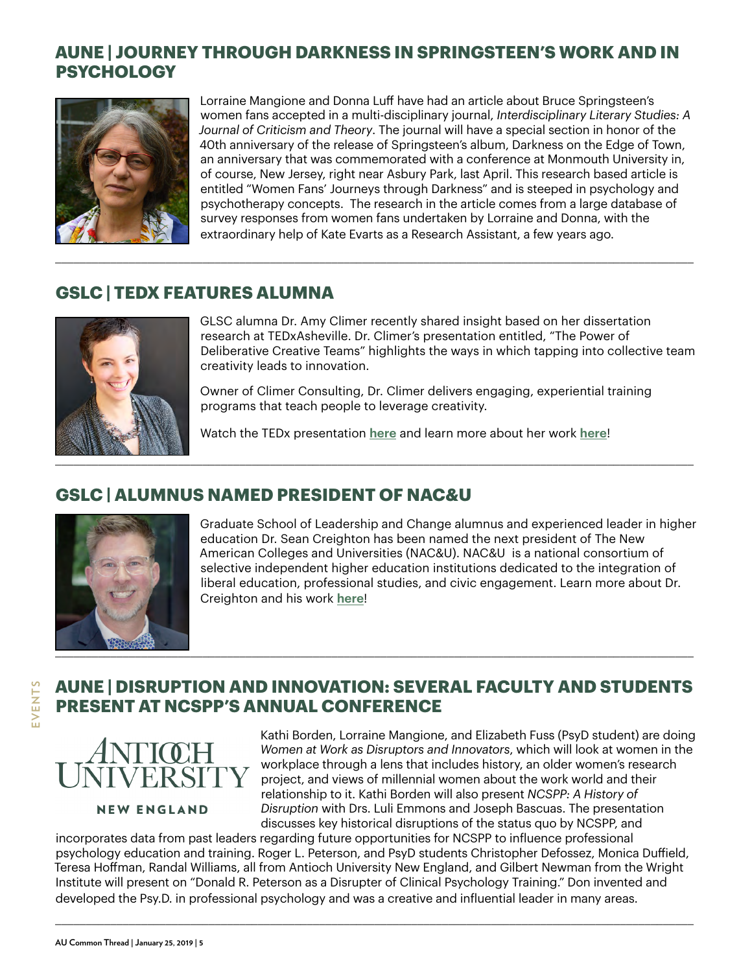# **AUNE | JOURNEY THROUGH DARKNESS IN SPRINGSTEEN'S WORK AND IN PSYCHOLOGY**

\_\_\_\_\_\_\_\_\_\_\_\_\_\_\_\_\_\_\_\_\_\_\_\_\_\_\_\_\_\_\_\_\_\_\_\_\_\_\_\_\_\_\_\_\_\_\_\_\_\_\_\_\_\_\_\_\_\_\_\_\_\_\_\_\_\_\_\_\_\_\_\_\_\_\_\_\_\_\_\_\_\_\_\_\_\_\_\_\_\_\_\_\_\_\_\_\_\_\_\_\_\_\_\_



Lorraine Mangione and Donna Luff have had an article about Bruce Springsteen's women fans accepted in a multi-disciplinary journal, *Interdisciplinary Literary Studies: A Journal of Criticism and Theory*. The journal will have a special section in honor of the 40th anniversary of the release of Springsteen's album, Darkness on the Edge of Town, an anniversary that was commemorated with a conference at Monmouth University in, of course, New Jersey, right near Asbury Park, last April. This research based article is entitled "Women Fans' Journeys through Darkness" and is steeped in psychology and psychotherapy concepts. The research in the article comes from a large database of survey responses from women fans undertaken by Lorraine and Donna, with the extraordinary help of Kate Evarts as a Research Assistant, a few years ago.

#### **GSLC | TEDX FEATURES ALUMNA**



GLSC alumna Dr. Amy Climer recently shared insight based on her dissertation research at TEDxAsheville. Dr. Climer's presentation entitled, "The Power of Deliberative Creative Teams" highlights the ways in which tapping into collective team creativity leads to innovation.

Owner of Climer Consulting, Dr. Climer delivers engaging, experiential training programs that teach people to leverage creativity.

Watch the TEDx presentation **[here](https://www.youtube.com/watch?reload=9&v=wtfo_JBFVGk&feature=youtu.be)** and learn more about her work **[here](http://www.climerconsulting.com/about/)**!

#### **GSLC | ALUMNUS NAMED PRESIDENT OF NAC&U**



Graduate School of Leadership and Change alumnus and experienced leader in higher education Dr. Sean Creighton has been named the next president of The New American Colleges and Universities (NAC&U). NAC&U is a national consortium of selective independent higher education institutions dedicated to the integration of liberal education, professional studies, and civic engagement. Learn more about Dr. Creighton and his work **[here](https://newamericancolleges.org/feature/nacu-to-welcome-sean-creighton-as-its-next-president/)**!

# **AUNE | DISRUPTION AND INNOVATION: SEVERAL FACULTY AND STUDENTS PRESENT AT NCSPP'S ANNUAL CONFERENCE**



Kathi Borden, Lorraine Mangione, and Elizabeth Fuss (PsyD student) are doing *Women at Work as Disruptors and Innovators*, which will look at women in the workplace through a lens that includes history, an older women's research project, and views of millennial women about the work world and their relationship to it. Kathi Borden will also present *NCSPP: A History of Disruption* with Drs. Luli Emmons and Joseph Bascuas. The presentation discusses key historical disruptions of the status quo by NCSPP, and

incorporates data from past leaders regarding future opportunities for NCSPP to influence professional psychology education and training. Roger L. Peterson, and PsyD students Christopher Defossez, Monica Duffield, Teresa Hoffman, Randal Williams, all from Antioch University New England, and Gilbert Newman from the Wright Institute will present on "Donald R. Peterson as a Disrupter of Clinical Psychology Training." Don invented and developed the Psy.D. in professional psychology and was a creative and influential leader in many areas.

\_\_\_\_\_\_\_\_\_\_\_\_\_\_\_\_\_\_\_\_\_\_\_\_\_\_\_\_\_\_\_\_\_\_\_\_\_\_\_\_\_\_\_\_\_\_\_\_\_\_\_\_\_\_\_\_\_\_\_\_\_\_\_\_\_\_\_\_\_\_\_\_\_\_\_\_\_\_\_\_\_\_\_\_\_\_\_\_\_\_\_\_\_\_\_\_\_\_\_\_\_\_\_\_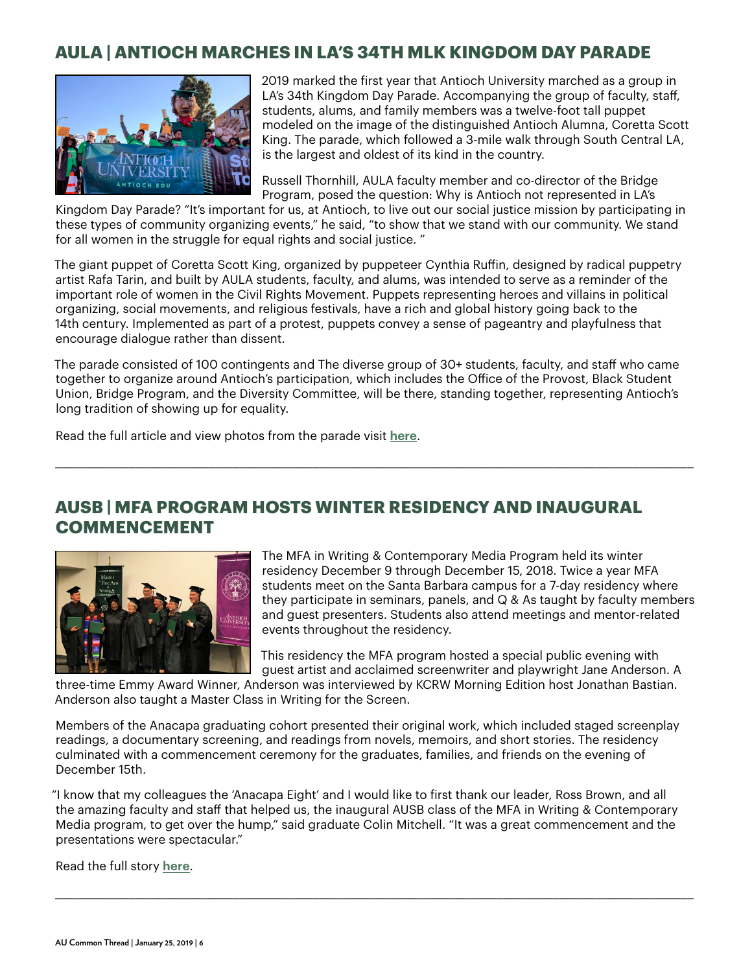#### **AULA | ANTIOCH MARCHES IN LA'S 34TH MLK KINGDOM DAY PARADE**



2019 marked the first year that Antioch University marched as a group in LA's 34th Kingdom Day Parade. Accompanying the group of faculty, staff, students, alums, and family members was a twelve-foot tall puppet modeled on the image of the distinguished Antioch Alumna, Coretta Scott King. The parade, which followed a 3-mile walk through South Central LA, is the largest and oldest of its kind in the country.

Russell Thornhill, AULA faculty member and co-director of the Bridge Program, posed the question: Why is Antioch not represented in LA's

Kingdom Day Parade? "It's important for us, at Antioch, to live out our social justice mission by participating in these types of community organizing events," he said, "to show that we stand with our community. We stand for all women in the struggle for equal rights and social justice. "

The giant puppet of Coretta Scott King, organized by puppeteer Cynthia Ruffin, designed by radical puppetry artist Rafa Tarin, and built by AULA students, faculty, and alums, was intended to serve as a reminder of the important role of women in the Civil Rights Movement. Puppets representing heroes and villains in political organizing, social movements, and religious festivals, have a rich and global history going back to the 14th century. Implemented as part of a protest, puppets convey a sense of pageantry and playfulness that encourage dialogue rather than dissent.

The parade consisted of 100 contingents and The diverse group of 30+ students, faculty, and staff who came together to organize around Antioch's participation, which includes the Office of the Provost, Black Student Union, Bridge Program, and the Diversity Committee, will be there, standing together, representing Antioch's long tradition of showing up for equality.

\_\_\_\_\_\_\_\_\_\_\_\_\_\_\_\_\_\_\_\_\_\_\_\_\_\_\_\_\_\_\_\_\_\_\_\_\_\_\_\_\_\_\_\_\_\_\_\_\_\_\_\_\_\_\_\_\_\_\_\_\_\_\_\_\_\_\_\_\_\_\_\_\_\_\_\_\_\_\_\_\_\_\_\_\_\_\_\_\_\_\_\_\_\_\_\_\_\_\_\_\_\_\_\_

Read the full article and view photos from the parade visit **[here](https://www.antioch.edu/los-angeles/2019/01/18/antioch-to-march-in-las-34th-mlk-kingdom-day-parade/)**.

#### **AUSB | MFA PROGRAM HOSTS WINTER RESIDENCY AND INAUGURAL COMMENCEMENT**



The MFA in Writing & Contemporary Media Program held its winter residency December 9 through December 15, 2018. Twice a year MFA students meet on the Santa Barbara campus for a 7-day residency where they participate in seminars, panels, and Q & As taught by faculty members and guest presenters. Students also attend meetings and mentor-related events throughout the residency.

This residency the MFA program hosted a special public evening with guest artist and acclaimed screenwriter and playwright Jane Anderson. A

three-time Emmy Award Winner, Anderson was interviewed by KCRW Morning Edition host Jonathan Bastian. Anderson also taught a Master Class in Writing for the Screen.

Members of the Anacapa graduating cohort presented their original work, which included staged screenplay readings, a documentary screening, and readings from novels, memoirs, and short stories. The residency culminated with a commencement ceremony for the graduates, families, and friends on the evening of December 15th.

"I know that my colleagues the 'Anacapa Eight' and I would like to first thank our leader, Ross Brown, and all the amazing faculty and staff that helped us, the inaugural AUSB class of the MFA in Writing & Contemporary Media program, to get over the hump," said graduate Colin Mitchell. "It was a great commencement and the presentations were spectacular."

\_\_\_\_\_\_\_\_\_\_\_\_\_\_\_\_\_\_\_\_\_\_\_\_\_\_\_\_\_\_\_\_\_\_\_\_\_\_\_\_\_\_\_\_\_\_\_\_\_\_\_\_\_\_\_\_\_\_\_\_\_\_\_\_\_\_\_\_\_\_\_\_\_\_\_\_\_\_\_\_\_\_\_\_\_\_\_\_\_\_\_\_\_\_\_\_\_\_\_\_\_\_\_\_

Read the full story **[here](https://www.antioch.edu/santa-barbara/2019/01/24/mfa-program-hosts-winter-residency-and-inaugral-commencement/)**.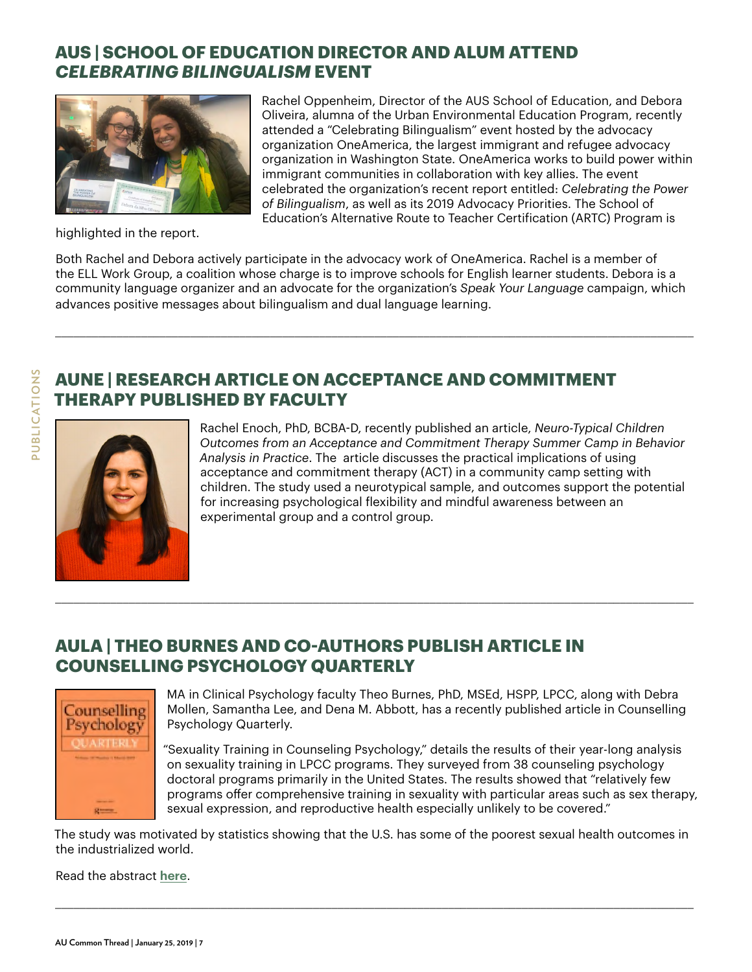# **AUS | SCHOOL OF EDUCATION DIRECTOR AND ALUM ATTEND**  *CELEBRATING BILINGUALISM* **EVENT**



Rachel Oppenheim, Director of the AUS School of Education, and Debora Oliveira, alumna of the Urban Environmental Education Program, recently attended a "Celebrating Bilingualism" event hosted by the advocacy organization OneAmerica, the largest immigrant and refugee advocacy organization in Washington State. OneAmerica works to build power within immigrant communities in collaboration with key allies. The event celebrated the organization's recent report entitled: *Celebrating the Power of Bilingualism*, as well as its 2019 Advocacy Priorities. The School of Education's Alternative Route to Teacher Certification (ARTC) Program is

highlighted in the report.

Both Rachel and Debora actively participate in the advocacy work of OneAmerica. Rachel is a member of the ELL Work Group, a coalition whose charge is to improve schools for English learner students. Debora is a community language organizer and an advocate for the organization's *Speak Your Language* campaign, which advances positive messages about bilingualism and dual language learning.

\_\_\_\_\_\_\_\_\_\_\_\_\_\_\_\_\_\_\_\_\_\_\_\_\_\_\_\_\_\_\_\_\_\_\_\_\_\_\_\_\_\_\_\_\_\_\_\_\_\_\_\_\_\_\_\_\_\_\_\_\_\_\_\_\_\_\_\_\_\_\_\_\_\_\_\_\_\_\_\_\_\_\_\_\_\_\_\_\_\_\_\_\_\_\_\_\_\_\_\_\_\_\_\_





Rachel Enoch, PhD, BCBA-D, recently published an article, *Neuro-Typical Children Outcomes from an Acceptance and Commitment Therapy Summer Camp in Behavior Analysis in Practice*. The article discusses the practical implications of using acceptance and commitment therapy (ACT) in a community camp setting with children. The study used a neurotypical sample, and outcomes support the potential for increasing psychological flexibility and mindful awareness between an experimental group and a control group.

#### **AULA | THEO BURNES AND CO-AUTHORS PUBLISH ARTICLE IN COUNSELLING PSYCHOLOGY QUARTERLY**



MA in Clinical Psychology faculty Theo Burnes, PhD, MSEd, HSPP, LPCC, along with Debra Mollen, Samantha Lee, and Dena M. Abbott, has a recently published article in Counselling Psychology Quarterly.

"Sexuality Training in Counseling Psychology," details the results of their year-long analysis on sexuality training in LPCC programs. They surveyed from 38 counseling psychology doctoral programs primarily in the United States. The results showed that "relatively few programs offer comprehensive training in sexuality with particular areas such as sex therapy, sexual expression, and reproductive health especially unlikely to be covered."

The study was motivated by statistics showing that the U.S. has some of the poorest sexual health outcomes in the industrialized world.

\_\_\_\_\_\_\_\_\_\_\_\_\_\_\_\_\_\_\_\_\_\_\_\_\_\_\_\_\_\_\_\_\_\_\_\_\_\_\_\_\_\_\_\_\_\_\_\_\_\_\_\_\_\_\_\_\_\_\_\_\_\_\_\_\_\_\_\_\_\_\_\_\_\_\_\_\_\_\_\_\_\_\_\_\_\_\_\_\_\_\_\_\_\_\_\_\_\_\_\_\_\_\_\_

\_\_\_\_\_\_\_\_\_\_\_\_\_\_\_\_\_\_\_\_\_\_\_\_\_\_\_\_\_\_\_\_\_\_\_\_\_\_\_\_\_\_\_\_\_\_\_\_\_\_\_\_\_\_\_\_\_\_\_\_\_\_\_\_\_\_\_\_\_\_\_\_\_\_\_\_\_\_\_\_\_\_\_\_\_\_\_\_\_\_\_\_\_\_\_\_\_\_\_\_\_\_\_\_

Read the abstract **[here](https://www.tandfonline.com/doi/full/10.1080/09515070.2018.1553146)**.